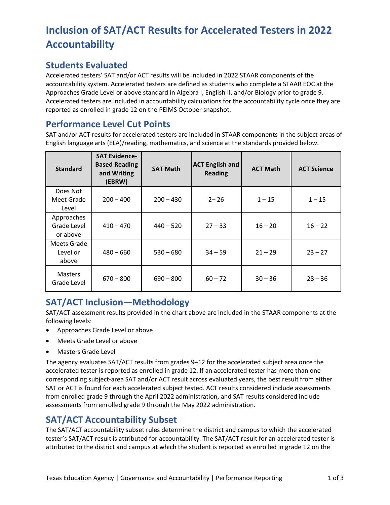# **Inclusion of SAT/ACT Results for Accelerated Testers in 2022 Accountability**

## **Students Evaluated**

Accelerated testers' SAT and/or ACT results will be included in 2022 STAAR components of the accountability system. Accelerated testers are defined as students who complete a STAAR EOC at the Approaches Grade Level or above standard in Algebra I, English II, and/or Biology prior to grade 9. Accelerated testers are included in accountability calculations for the accountability cycle once they are reported as enrolled in grade 12 on the PEIMS October snapshot.

## **Performance Level Cut Points**

SAT and/or ACT results for accelerated testers are included in STAAR components in the subject areas of English language arts (ELA)/reading, mathematics, and science at the standards provided below.

| <b>Standard</b>                       | <b>SAT Evidence-</b><br><b>Based Reading</b><br>and Writing<br>(EBRW) | <b>SAT Math</b> | <b>ACT English and</b><br><b>Reading</b> | <b>ACT Math</b> | <b>ACT Science</b> |
|---------------------------------------|-----------------------------------------------------------------------|-----------------|------------------------------------------|-----------------|--------------------|
| Does Not<br>Meet Grade<br>Level       | $200 - 400$                                                           | $200 - 430$     | $2 - 26$                                 | $1 - 15$        | $1 - 15$           |
| Approaches<br>Grade Level<br>or above | $410 - 470$                                                           | $440 - 520$     | $27 - 33$                                | $16 - 20$       | $16 - 22$          |
| Meets Grade<br>Level or<br>above      | $480 - 660$                                                           | $530 - 680$     | $34 - 59$                                | $21 - 29$       | $23 - 27$          |
| <b>Masters</b><br>Grade Level         | $670 - 800$                                                           | $690 - 800$     | $60 - 72$                                | $30 - 36$       | $28 - 36$          |

# **SAT/ACT Inclusion—Methodology**

SAT/ACT assessment results provided in the chart above are included in the STAAR components at the following levels:

- Approaches Grade Level or above
- Meets Grade Level or above
- Masters Grade Level

The agency evaluates SAT/ACT results from grades 9–12 for the accelerated subject area once the accelerated tester is reported as enrolled in grade 12. If an accelerated tester has more than one corresponding subject-area SAT and/or ACT result across evaluated years, the best result from either SAT or ACT is found for each accelerated subject tested. ACT results considered include assessments from enrolled grade 9 through the April 2022 administration, and SAT results considered include assessments from enrolled grade 9 through the May 2022 administration.

# **SAT/ACT Accountability Subset**

The SAT/ACT accountability subset rules determine the district and campus to which the accelerated tester's SAT/ACT result is attributed for accountability. The SAT/ACT result for an accelerated tester is attributed to the district and campus at which the student is reported as enrolled in grade 12 on the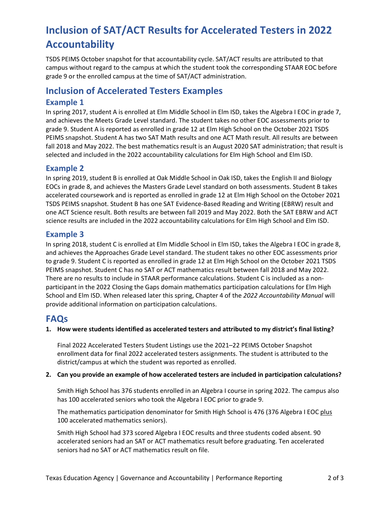# **Inclusion of SAT/ACT Results for Accelerated Testers in 2022 Accountability**

TSDS PEIMS October snapshot for that accountability cycle. SAT/ACT results are attributed to that campus without regard to the campus at which the student took the corresponding STAAR EOC before grade 9 or the enrolled campus at the time of SAT/ACT administration.

## **Inclusion of Accelerated Testers Examples**

## **Example 1**

In spring 2017, student A is enrolled at Elm Middle School in Elm ISD, takes the Algebra I EOC in grade 7, and achieves the Meets Grade Level standard. The student takes no other EOC assessments prior to grade 9. Student A is reported as enrolled in grade 12 at Elm High School on the October 2021 TSDS PEIMS snapshot. Student A has two SAT Math results and one ACT Math result. All results are between fall 2018 and May 2022. The best mathematics result is an August 2020 SAT administration; that result is selected and included in the 2022 accountability calculations for Elm High School and Elm ISD.

### **Example 2**

In spring 2019, student B is enrolled at Oak Middle School in Oak ISD, takes the English II and Biology EOCs in grade 8, and achieves the Masters Grade Level standard on both assessments. Student B takes accelerated coursework and is reported as enrolled in grade 12 at Elm High School on the October 2021 TSDS PEIMS snapshot. Student B has one SAT Evidence-Based Reading and Writing (EBRW) result and one ACT Science result. Both results are between fall 2019 and May 2022. Both the SAT EBRW and ACT science results are included in the 2022 accountability calculations for Elm High School and Elm ISD.

### **Example 3**

In spring 2018, student C is enrolled at Elm Middle School in Elm ISD, takes the Algebra I EOC in grade 8, and achieves the Approaches Grade Level standard. The student takes no other EOC assessments prior to grade 9. Student C is reported as enrolled in grade 12 at Elm High School on the October 2021 TSDS PEIMS snapshot. Student C has no SAT or ACT mathematics result between fall 2018 and May 2022. There are no results to include in STAAR performance calculations. Student C is included as a nonparticipant in the 2022 Closing the Gaps domain mathematics participation calculations for Elm High School and Elm ISD. When released later this spring, Chapter 4 of the *2022 Accountability Manual* will provide additional information on participation calculations.

## **FAQs**

**1. How were students identified as accelerated testers and attributed to my district's final listing?**

Final 2022 Accelerated Testers Student Listings use the 2021–22 PEIMS October Snapshot enrollment data for final 2022 accelerated testers assignments. The student is attributed to the district/campus at which the student was reported as enrolled.

#### **2. Can you provide an example of how accelerated testers are included in participation calculations?**

Smith High School has 376 students enrolled in an Algebra I course in spring 2022. The campus also has 100 accelerated seniors who took the Algebra I EOC prior to grade 9.

The mathematics participation denominator for Smith High School is 476 (376 Algebra I EOC plus 100 accelerated mathematics seniors).

Smith High School had 373 scored Algebra I EOC results and three students coded absent. 90 accelerated seniors had an SAT or ACT mathematics result before graduating. Ten accelerated seniors had no SAT or ACT mathematics result on file.